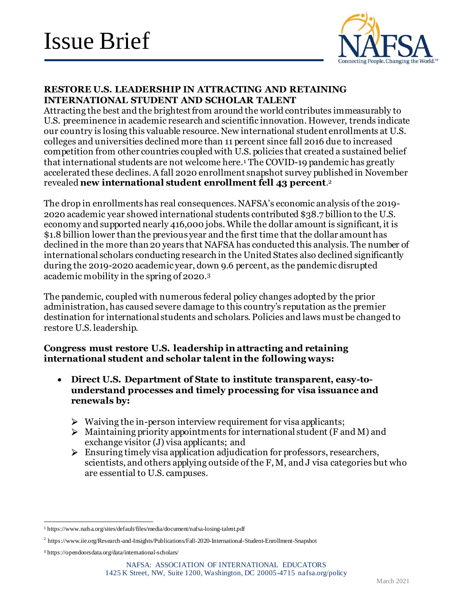

## **RESTORE U.S. LEADERSHIP IN ATTRACTING AND RETAINING INTERNATIONAL STUDENT AND SCHOLAR TALENT**

Attracting the best and the brightest from around the world contributes immeasurably to U.S. preeminence in academic research and scientific innovation. However, trends indicate our country is losing this valuable resource. New international student enrollments at U.S. colleges and universities declined more than 11 percent since fall 2016 due to increased competition from other countries coupled with U.S. policies that created a sustained belief that international students are not welcome here.<sup>1</sup> The COVID-19 pandemic has greatly accelerated these declines. A fall 2020 enrollment snapshot survey published in November revealed **new international student enrollment fell 43 percent**. 2

The drop in enrollments has real consequences. NAFSA's economic analysis of the 2019- 2020 academic year showed international students contributed \$38.7 billion to the U.S. economy and supported nearly 416,000 jobs. While the dollar amount is significant, it is \$1.8 billion lower than the previous year and the first time that the dollar amount has declined in the more than 20 years that NAFSA has conducted this analysis. The number of international scholars conducting research in the United States also declined significantly during the 2019-2020 academic year, down 9.6 percent, as the pandemic disrupted academic mobility in the spring of 2020.<sup>3</sup>

The pandemic, coupled with numerous federal policy changes adopted by the prior administration, has caused severe damage to this country's reputation as the premier destination for international students and scholars. Policies and laws must be changed to restore U.S. leadership.

## **Congress must restore U.S. leadership in attracting and retaining international student and scholar talent in the following ways:**

- **Direct U.S. Department of State to institute transparent, easy-tounderstand processes and timely processing for visa issuance and renewals by:**
	- $\triangleright$  Waiving the in-person interview requirement for visa applicants;
	- $\triangleright$  Maintaining priority appointments for international student (F and M) and exchange visitor (J) visa applicants; and
	- $\triangleright$  Ensuring timely visa application adjudication for professors, researchers, scientists, and others applying outside of the F, M, and J visa categories but who are essential to U.S. campuses.

<sup>1</sup> https://www.nafsa.org/sites/default/files/media/document/nafsa-losing-talent.pdf

<sup>2</sup> https://www.iie.org/Research-and-Insights/Publications/Fall-2020-International-Student-Enrollment-Snapshot

<sup>3</sup> https://opendoorsdata.org/data/international-scholars/